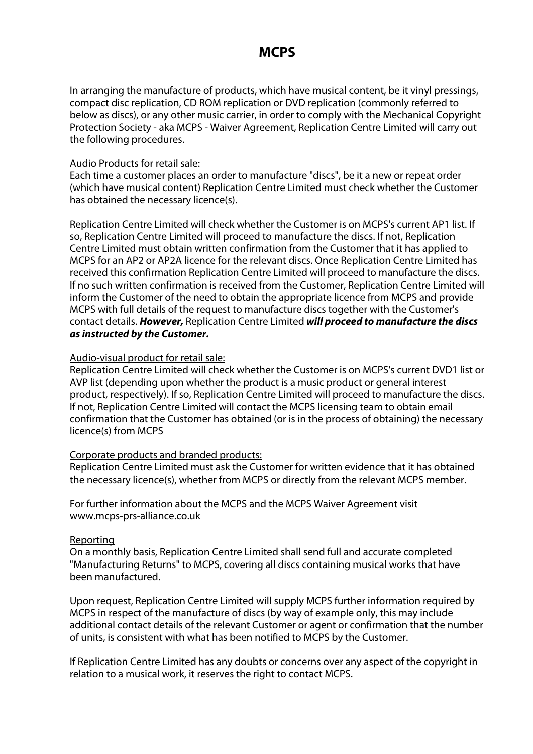# **MCPS**

In arranging the manufacture of products, which have musical content, be it vinyl pressings, compact disc replication, CD ROM replication or DVD replication (commonly referred to below as discs), or any other music carrier, in order to comply with the Mechanical Copyright Protection Society - aka MCPS - Waiver Agreement, Replication Centre Limited will carry out the following procedures.

### Audio Products for retail sale:

Each time a customer places an order to manufacture "discs", be it a new or repeat order (which have musical content) Replication Centre Limited must check whether the Customer has obtained the necessary licence(s).

Replication Centre Limited will check whether the Customer is on MCPS's current AP1 list. If so, Replication Centre Limited will proceed to manufacture the discs. If not, Replication Centre Limited must obtain written confirmation from the Customer that it has applied to MCPS for an AP2 or AP2A licence for the relevant discs. Once Replication Centre Limited has received this confirmation Replication Centre Limited will proceed to manufacture the discs. If no such written confirmation is received from the Customer, Replication Centre Limited will inform the Customer of the need to obtain the appropriate licence from MCPS and provide MCPS with full details of the request to manufacture discs together with the Customer's contact details. **However,** Replication Centre Limited **will proceed to manufacture the discs as instructed by the Customer.** 

### Audio-visual product for retail sale:

Replication Centre Limited will check whether the Customer is on MCPS's current DVD1 list or AVP list (depending upon whether the product is a music product or general interest product, respectively). If so, Replication Centre Limited will proceed to manufacture the discs. If not, Replication Centre Limited will contact the MCPS licensing team to obtain email confirmation that the Customer has obtained (or is in the process of obtaining) the necessary licence(s) from MCPS

### Corporate products and branded products:

Replication Centre Limited must ask the Customer for written evidence that it has obtained the necessary licence(s), whether from MCPS or directly from the relevant MCPS member.

For further information about the MCPS and the MCPS Waiver Agreement visit www.mcps-prs-alliance.co.uk

### Reporting

On a monthly basis, Replication Centre Limited shall send full and accurate completed "Manufacturing Returns" to MCPS, covering all discs containing musical works that have been manufactured.

Upon request, Replication Centre Limited will supply MCPS further information required by MCPS in respect of the manufacture of discs (by way of example only, this may include additional contact details of the relevant Customer or agent or confirmation that the number of units, is consistent with what has been notified to MCPS by the Customer.

If Replication Centre Limited has any doubts or concerns over any aspect of the copyright in relation to a musical work, it reserves the right to contact MCPS.